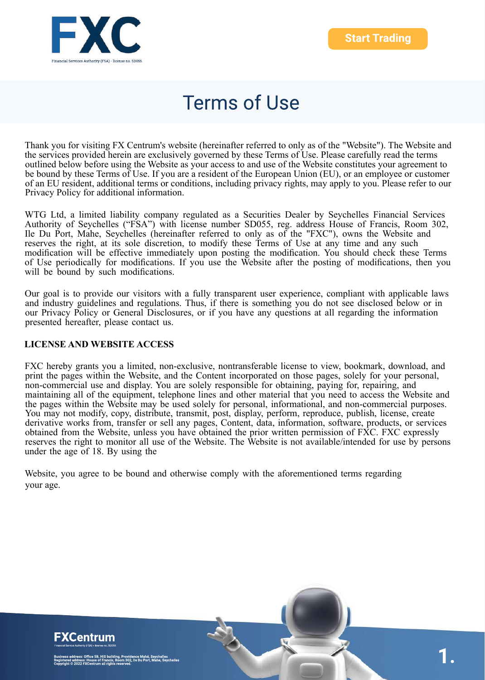

Thank you for visiting FX Centrum's website (hereinafter referred to only as of the "Website"). The Website and the services provided herein are exclusively governed by these Terms of Use. Please carefully read the terms outlined below before using the Website as your access to and use of the Website constitutes your agreement to be bound by these Terms of Use. If you are a resident of the European Union (EU), or an employee or customer of an EU resident, additional terms or conditions, including privacy rights, may apply to you. Please refer to our Privacy Policy for additional information.

WTG Ltd, a limited liability company regulated as a Securities Dealer by Seychelles Financial Services Authority of Seychelles ("FSA") with license number SD055, reg. address House of Francis, Room 302, Ile Du Port, Mahe, Seychelles (hereinafter referred to only as of the "FXC"), owns the Website and reserves the right, at its sole discretion, to modify these Terms of Use at any time and any such modification will be effective immediately upon posting the modification. You should check these Terms of Use periodically for modifications. If you use the Website after the posting of modifications, then you will be bound by such modifications.

Our goal is to provide our visitors with a fully transparent user experience, compliant with applicable laws and industry guidelines and regulations. Thus, if there is something you do not see disclosed below or in our Privacy Policy or General Disclosures, or if you have any questions at all regarding the information presented hereafter, please contact us.

#### **LICENSE AND WEBSITE ACCESS**

FXC hereby grants you a limited, non-exclusive, nontransferable license to view, bookmark, download, and print the pages within the Website, and the Content incorporated on those pages, solely for your personal, non-commercial use and display. You are solely responsible for obtaining, paying for, repairing, and maintaining all of the equipment, telephone lines and other material that you need to access the Website and the pages within the Website may be used solely for personal, informational, and non-commercial purposes. You may not modify, copy, distribute, transmit, post, display, perform, reproduce, publish, license, create derivative works from, transfer or sell any pages, Content, data, information, software, products, or services obtained from the Website, unless you have obtained the prior written permission of FXC. FXC expressly reserves the right to monitor all use of the Website. The Website is not available/intended for use by persons under the age of 18. By using the

Website, you agree to be bound and otherwise comply with the aforementioned terms regarding your age.

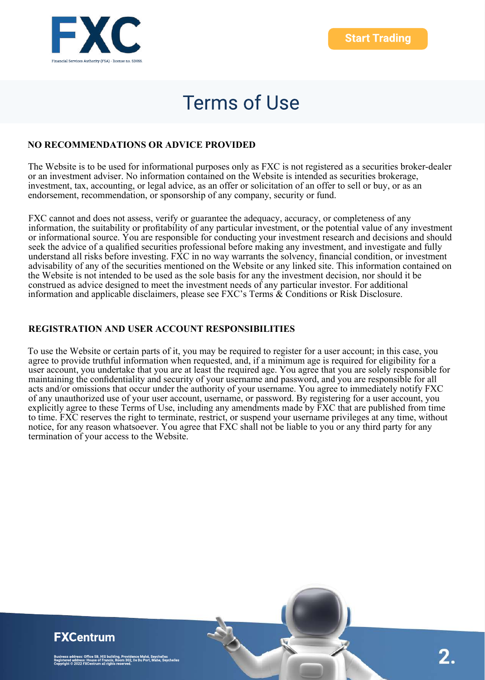

### **NO RECOMMENDATIONS OR ADVICE PROVIDED**

The Website is to be used for informational purposes only as FXC is not registered as a securities broker-dealer or an investment adviser. No information contained on the Website is intended as securities brokerage, investment, tax, accounting, or legal advice, as an offer or solicitation of an offer to sell or buy, or as an endorsement, recommendation, or sponsorship of any company, security or fund.

FXC cannot and does not assess, verify or guarantee the adequacy, accuracy, or completeness of any information, the suitability or profitability of any particular investment, or the potential value of any investment or informational source. You are responsible for conducting your investment research and decisions and should seek the advice of a qualified securities professional before making any investment, and investigate and fully understand all risks before investing. FXC in no way warrants the solvency, financial condition, or investment advisability of any of the securities mentioned on the Website or any linked site. This information contained on the Website is not intended to be used as the sole basis for any the investment decision, nor should it be construed as advice designed to meet the investment needs of any particular investor. For additional information and applicable disclaimers, please see FXC's Terms & Conditions or Risk Disclosure.

#### **REGISTRATION AND USER ACCOUNT RESPONSIBILITIES**

To use the Website or certain parts of it, you may be required to register for a user account; in this case, you agree to provide truthful information when requested, and, if a minimum age is required for eligibility for a user account, you undertake that you are at least the required age. You agree that you are solely responsible for maintaining the confidentiality and security of your username and password, and you are responsible for all acts and/or omissions that occur under the authority of your username. You agree to immediately notify FXC of any unauthorized use of your user account, username, or password. By registering for a user account, you explicitly agree to these Terms of Use, including any amendments made by FXC that are published from time to time. FXC reserves the right to terminate, restrict, or suspend your username privileges at any time, without notice, for any reason whatsoever. You agree that FXC shall not be liable to you or any third party for any termination of your access to the Website.

### **FXCentrum**

ess: Office 5B, HIS building, Providence Mahé, Seychelles<br>ress: House of Francis, Room 302, Ile Du Port, Mahe, Seychelles<br>!22 FXCentrum all rights reserved.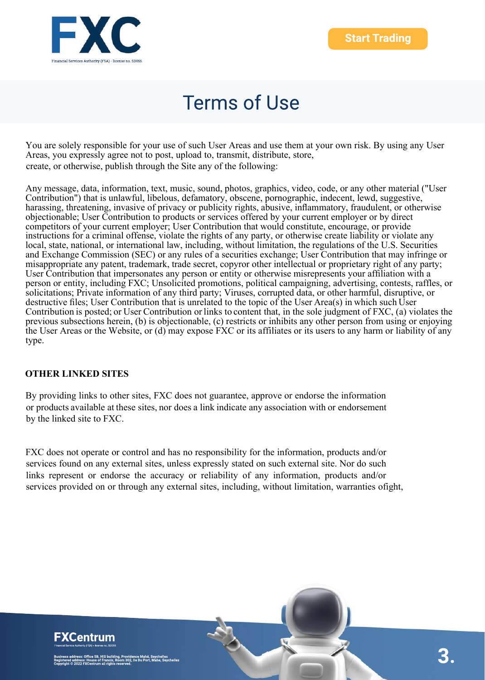

You are solely responsible for your use of such User Areas and use them at your own risk. By using any User Areas, you expressly agree not to post, upload to, transmit, distribute, store, create, or otherwise, publish through the Site any of the following:

Any message, data, information, text, music, sound, photos, graphics, video, code, or any other material ("User Contribution") that is unlawful, libelous, defamatory, obscene, pornographic, indecent, lewd, suggestive, harassing, threatening, invasive of privacy or publicity rights, abusive, inflammatory, fraudulent, or otherwise objectionable; User Contribution to products or services offered by your current employer or by direct competitors of your current employer; User Contribution that would constitute, encourage, or provide instructions for a criminal offense, violate the rights of any party, or otherwise create liability or violate any local, state, national, or international law, including, without limitation, the regulations of the U.S. Securities and Exchange Commission (SEC) or any rules of a securities exchange; User Contribution that may infringe or misappropriate any patent, trademark, trade secret, copyror other intellectual or proprietary right of any party; User Contribution that impersonates any person or entity or otherwise misrepresents your affiliation with a person or entity, including FXC; Unsolicited promotions, political campaigning, advertising, contests, raffles, or solicitations; Private information of any third party; Viruses, corrupted data, or other harmful, disruptive, or destructive files; User Contribution that is unrelated to the topic of the User Area(s) in which such User Contribution is posted; or User Contribution or links to content that, in the sole judgment of FXC, (a) violates the previous subsections herein, (b) is objectionable, (c) restricts or inhibits any other person from using or enjoying the User Areas or the Website, or (d) may expose FXC or its affiliates or its users to any harm or liability of any type.

### **OTHER LINKED SITES**

By providing links to other sites, FXC does not guarantee, approve or endorse the information or products available at these sites, nor does a link indicate any association with or endorsement by the linked site to FXC.

FXC does not operate or control and has no responsibility for the information, products and/or services found on any external sites, unless expressly stated on such external site. Nor do such links represent or endorse the accuracy or reliability of any information, products and/or services provided on or through any external sites, including, without limitation, warranties ofight,

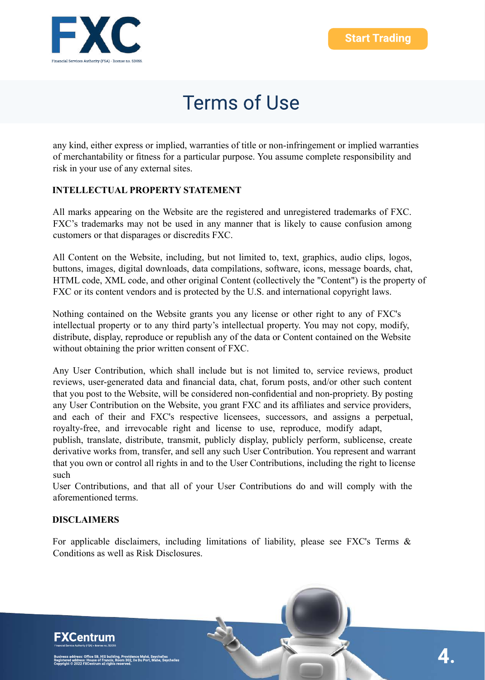

any kind, either express or implied, warranties of title or non-infringement or implied warranties of merchantability or fitness for a particular purpose. You assume complete responsibility and risk in your use of any external sites.

### **INTELLECTUAL PROPERTY STATEMENT**

All marks appearing on the Website are the registered and unregistered trademarks of FXC. FXC's trademarks may not be used in any manner that is likely to cause confusion among customers or that disparages or discredits FXC.

All Content on the Website, including, but not limited to, text, graphics, audio clips, logos, buttons, images, digital downloads, data compilations, software, icons, message boards, chat, HTML code, XML code, and other original Content (collectively the "Content") is the property of FXC or its content vendors and is protected by the U.S. and international copyright laws.

Nothing contained on the Website grants you any license or other right to any of FXC's intellectual property or to any third party's intellectual property. You may not copy, modify, distribute, display, reproduce or republish any of the data or Content contained on the Website without obtaining the prior written consent of FXC.

Any User Contribution, which shall include but is not limited to, service reviews, product reviews, user-generated data and financial data, chat, forum posts, and/or other such content that you post to the Website, will be considered non-confidential and non-propriety. By posting any User Contribution on the Website, you grant FXC and its affiliates and service providers, and each of their and FXC's respective licensees, successors, and assigns a perpetual, royalty-free, and irrevocable right and license to use, reproduce, modify adapt, publish, translate, distribute, transmit, publicly display, publicly perform, sublicense, create derivative works from, transfer, and sell any such User Contribution. You represent and warrant that you own or control all rights in and to the User Contributions, including the right to license such

User Contributions, and that all of your User Contributions do and will comply with the aforementioned terms.

### **DISCLAIMERS**

For applicable disclaimers, including limitations of liability, please see FXC's Terms & Conditions as well as Risk Disclosures.